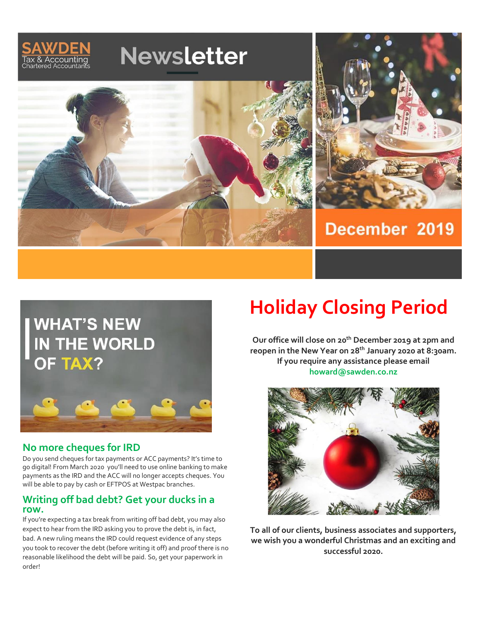



## **No more cheques for IRD**

Do you send cheques for tax payments or ACC payments? It's time to go digital! From March 2020 you'll need to use online banking to make payments as the IRD and the ACC will no longer accepts cheques. You will be able to pay by cash or EFTPOS at Westpac branches.

### **Writing off bad debt? Get your ducks in a row.**

If you're expecting a tax break from writing off bad debt, you may also expect to hear from the IRD asking you to prove the debt is, in fact, bad. A new ruling means the IRD could request evidence of any steps you took to recover the debt (before writing it off) and proof there is no reasonable likelihood the debt will be paid. So, get your paperwork in order!

# **Holiday Closing Period**

**Our office will close on 20th December 2019 at 2pm and reopen in the New Year on 28 th January 2020 at 8:30am. If you require any assistance please email howard@sawden.co.nz**



**To all of our clients, business associates and supporters, we wish you a wonderful Christmas and an exciting and successful 2020.**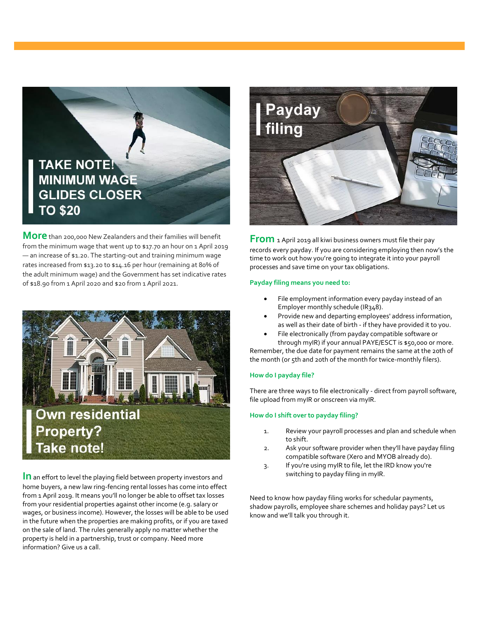

**More** than 200,000 New Zealanders and their families will benefit from the minimum wage that went up to \$17.70 an hour on 1 April 2019 — an increase of \$1.20. The starting-out and training minimum wage rates increased from \$13.20 to \$14.16 per hour (remaining at 80% of the adult minimum wage) and the Government has set indicative rates of \$18.90 from 1 April 2020 and \$20 from 1 April 2021.



**In** an effort to level the playing field between property investors and home buyers, a new law ring-fencing rental losses has come into effect from 1 April 2019. It means you'll no longer be able to offset tax losses from your residential properties against other income (e.g. salary or wages, or business income). However, the losses will be able to be used in the future when the properties are making profits, or if you are taxed on the sale of land. The rules generally apply no matter whether the property is held in a partnership, trust or company. Need more information? Give us a call.



**From** 1 April 2019 all kiwi business owners must file their pay records every payday. If you are considering employing then now's the time to work out how you're going to integrate it into your payroll processes and save time on your tax obligations.

#### **Payday filing means you need to:**

- File employment information every payday instead of an Employer monthly schedule (IR348).
- Provide new and departing employees' address information, as well as their date of birth - if they have provided it to you.
- File electronically (from payday compatible software or through myIR) if your annual PAYE/ESCT is \$50,000 or more.

Remember, the due date for payment remains the same at the 20th of the month (or 5th and 20th of the month for twice-monthly filers).

#### **How do I payday file?**

There are three ways to file electronically - direct from payroll software, file upload from myIR or onscreen via myIR.

#### **How do I shift over to payday filing?**

- 1. Review your payroll processes and plan and schedule when to shift.
- 2. Ask your software provider when they'll have payday filing compatible software (Xero and MYOB already do).
- 3. If you're using myIR to file, let the IRD know you're switching to payday filing in myIR.

Need to know how payday filing works for schedular payments, shadow payrolls, employee share schemes and holiday pays? Let us know and we'll talk you through it.